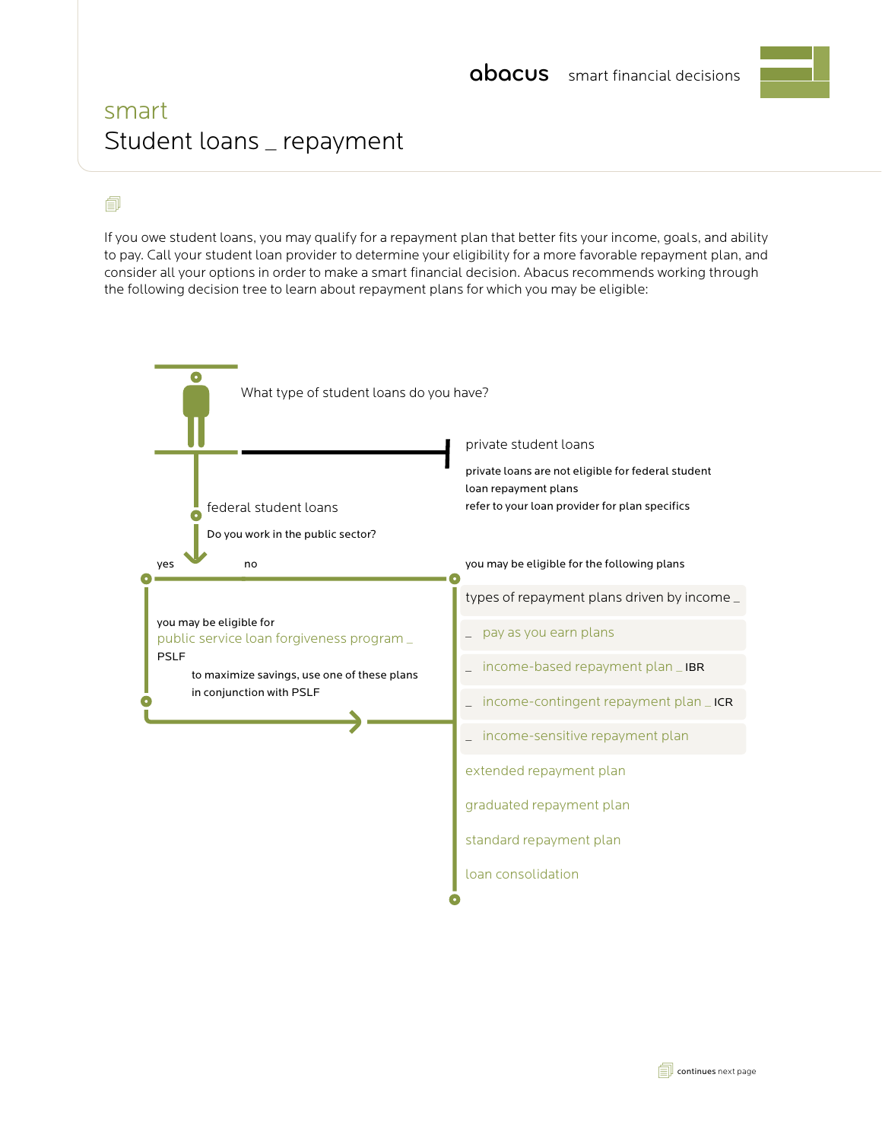# smart Student loans \_ repayment

# **.**

If you owe student loans, you may qualify for a repayment plan that better fits your income, goals, and ability to pay. Call your student loan provider to determine your eligibility for a more favorable repayment plan, and consider all your options in order to make a smart financial decision. Abacus recommends working through the following decision tree to learn about repayment plans for which you may be eligible:



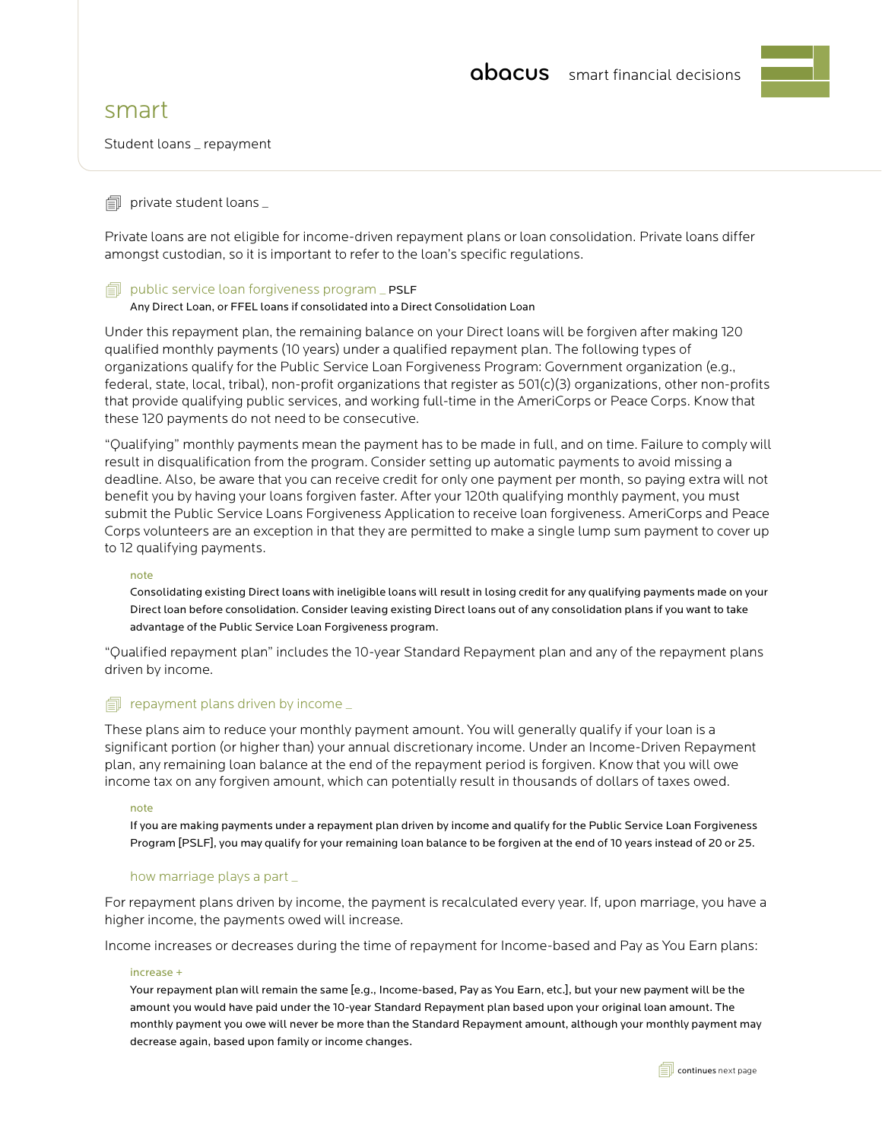# smart

Student loans \_ repayment

 $\Box$  private student loans  $\Box$ 

Private loans are not eligible for income-driven repayment plans or loan consolidation. Private loans differ amongst custodian, so it is important to refer to the loan's specific regulations.

# $\Box$  public service loan forgiveness program \_ PSLF

# Any Direct Loan, or FFEL loans if consolidated into a Direct Consolidation Loan

Under this repayment plan, the remaining balance on your Direct loans will be forgiven after making 120 qualified monthly payments (10 years) under a qualified repayment plan. The following types of organizations qualify for the Public Service Loan Forgiveness Program: Government organization (e.g., federal, state, local, tribal), non-profit organizations that register as 501(c)(3) organizations, other non-profits that provide qualifying public services, and working full-time in the AmeriCorps or Peace Corps. Know that these 120 payments do not need to be consecutive.

"Qualifying" monthly payments mean the payment has to be made in full, and on time. Failure to comply will result in disqualification from the program. Consider setting up automatic payments to avoid missing a deadline. Also, be aware that you can receive credit for only one payment per month, so paying extra will not benefit you by having your loans forgiven faster. After your 120th qualifying monthly payment, you must submit the Public Service Loans Forgiveness Application to receive loan forgiveness. AmeriCorps and Peace Corps volunteers are an exception in that they are permitted to make a single lump sum payment to cover up to 12 qualifying payments.

#### note

Consolidating existing Direct loans with ineligible loans will result in losing credit for any qualifying payments made on your Direct loan before consolidation. Consider leaving existing Direct loans out of any consolidation plans if you want to take advantage of the Public Service Loan Forgiveness program.

"Qualified repayment plan" includes the 10-year Standard Repayment plan and any of the repayment plans driven by income.

# $\Box$  repayment plans driven by income  $\Box$

These plans aim to reduce your monthly payment amount. You will generally qualify if your loan is a significant portion (or higher than) your annual discretionary income. Under an Income-Driven Repayment plan, any remaining loan balance at the end of the repayment period is forgiven. Know that you will owe income tax on any forgiven amount, which can potentially result in thousands of dollars of taxes owed.

#### note

If you are making payments under a repayment plan driven by income and qualify for the Public Service Loan Forgiveness Program [PSLF], you may qualify for your remaining loan balance to be forgiven at the end of 10 years instead of 20 or 25.

# how marriage plays a part \_

For repayment plans driven by income, the payment is recalculated every year. If, upon marriage, you have a higher income, the payments owed will increase.

Income increases or decreases during the time of repayment for Income-based and Pay as You Earn plans:

#### increase +

Your repayment plan will remain the same [e.g., Income-based, Pay as You Earn, etc.], but your new payment will be the amount you would have paid under the 10-year Standard Repayment plan based upon your original loan amount. The monthly payment you owe will never be more than the Standard Repayment amount, although your monthly payment may decrease again, based upon family or income changes.

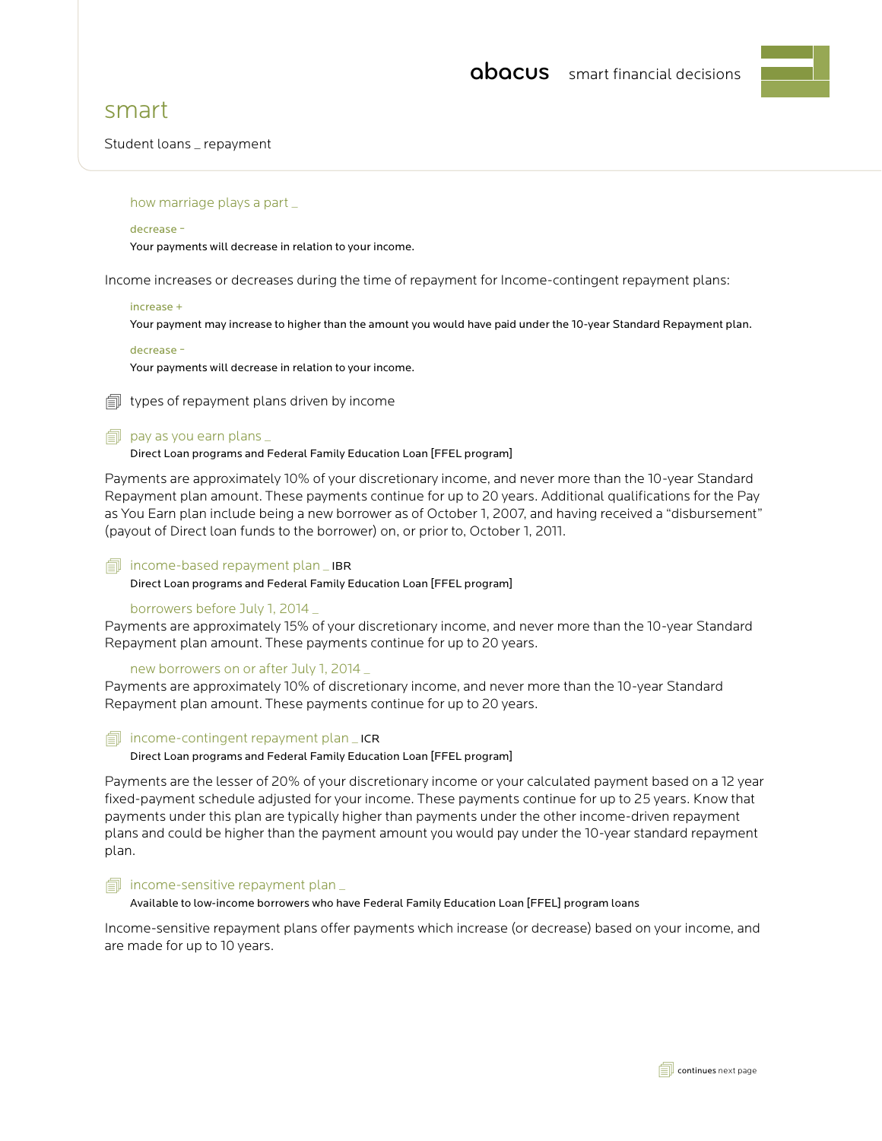

# smart

Student loans \_ repayment

# how marriage plays a part \_

#### decrease −

Your payments will decrease in relation to your income.

Income increases or decreases during the time of repayment for Income-contingent repayment plans:

#### increase +

Your payment may increase to higher than the amount you would have paid under the 10-year Standard Repayment plan.

#### decrease −

Your payments will decrease in relation to your income.

 $\textcircled{\textsf{m}}$  types of repayment plans driven by income

# . pay as you earn plans \_

Direct Loan programs and Federal Family Education Loan [FFEL program]

Payments are approximately 10% of your discretionary income, and never more than the 10-year Standard Repayment plan amount. These payments continue for up to 20 years. Additional qualifications for the Pay as You Earn plan include being a new borrower as of October 1, 2007, and having received a "disbursement" (payout of Direct loan funds to the borrower) on, or prior to, October 1, 2011.

# $\Box$  income-based repayment plan  $\Box$  IBR

Direct Loan programs and Federal Family Education Loan [FFEL program]

# borrowers before July 1, 2014 \_

Payments are approximately 15% of your discretionary income, and never more than the 10-year Standard Repayment plan amount. These payments continue for up to 20 years.

# new borrowers on or after July 1, 2014 \_

Payments are approximately 10% of discretionary income, and never more than the 10-year Standard Repayment plan amount. These payments continue for up to 20 years.

# $\textcircled{\textsf{m}}$  income-contingent repayment plan \_ ICR

Direct Loan programs and Federal Family Education Loan [FFEL program]

Payments are the lesser of 20% of your discretionary income or your calculated payment based on a 12 year fixed-payment schedule adjusted for your income. These payments continue for up to 25 years. Know that payments under this plan are typically higher than payments under the other income-driven repayment plans and could be higher than the payment amount you would pay under the 10-year standard repayment plan.

# $\Box$  income-sensitive repayment plan  $\Box$

Available to low-income borrowers who have Federal Family Education Loan [FFEL] program loans

Income-sensitive repayment plans offer payments which increase (or decrease) based on your income, and are made for up to 10 years.